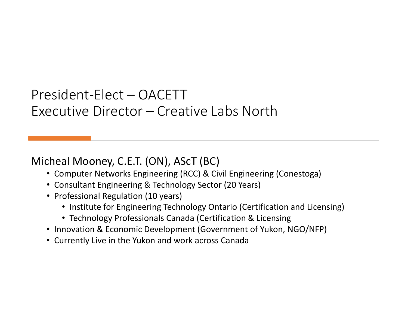#### President-Elect – OACETT Executive Director – Creative Labs North

#### Micheal Mooney, C.E.T. (ON), AScT (BC)

- Computer Networks Engineering (RCC) & Civil Engineering (Conestoga)
- Consultant Engineering & Technology Sector (20 Years)
- Professional Regulation (10 years)
	- Institute for Engineering Technology Ontario (Certification and Licensing)
	- Technology Professionals Canada (Certification & Licensing
- Innovation & Economic Development (Government of Yukon, NGO/NFP)
- Currently Live in the Yukon and work across Canada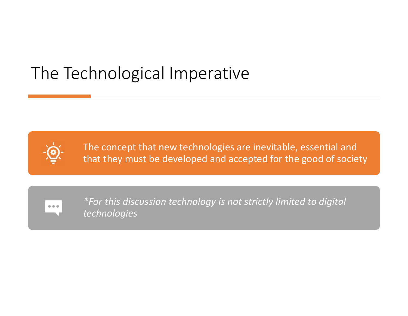### The Technological Imperative



The concept that new technologies are inevitable, essential and that they must be developed and accepted for the good of society



*\*For this discussion technology is not strictly limited to digital technologies*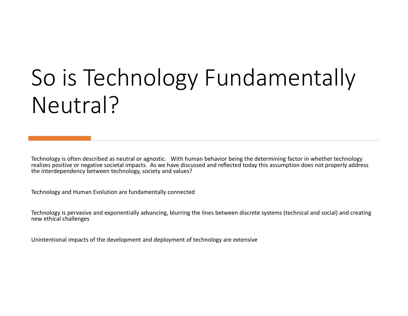# So is Technology Fundamentally Neutral?

Technology is often described as neutral or agnostic. With human behavior being the determining factor in whether technology realizes positive or negative societal impacts. As we have discussed and reflected today this assumption does not properly address the interdependency between technology, society and values?

Technology and Human Evolution are fundamentally connected

Technology is pervasive and exponentially advancing, blurring the lines between discrete systems (technical and social) and creating new ethical challenges

Unintentional impacts of the development and deployment of technology are extensive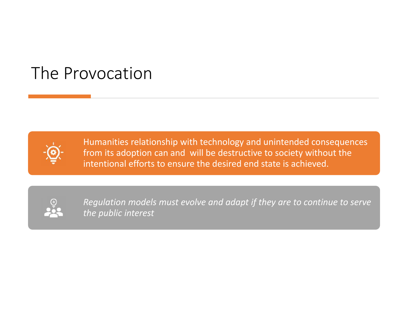### The Provocation



Humanities relationship with technology and unintended consequences from its adoption can and will be destructive to society without the intentional efforts to ensure the desired end state is achieved.



*Regulation models must evolve and adapt if they are to continue to serve the public interest*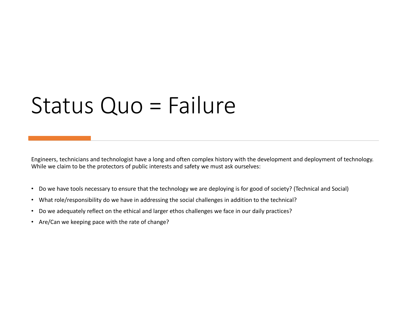## Status Quo = Failure

Engineers, technicians and technologist have a long and often complex history with the development and deployment of technology. While we claim to be the protectors of public interests and safety we must ask ourselves:

- Do we have tools necessary to ensure that the technology we are deploying is for good of society? (Technical and Social)
- What role/responsibility do we have in addressing the social challenges in addition to the technical?
- Do we adequately reflect on the ethical and larger ethos challenges we face in our daily practices?
- Are/Can we keeping pace with the rate of change?